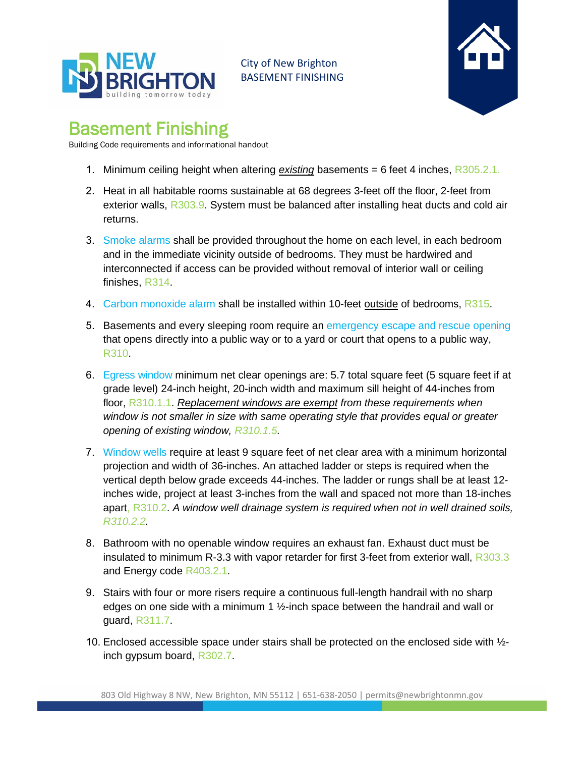

City of New Brighton BASEMENT FINISHING



## Basement Finishing

Building Code requirements and informational handout

- 1. Minimum ceiling height when altering *existing* basements = 6 feet 4 inches, R305.2.1.
- 2. Heat in all habitable rooms sustainable at 68 degrees 3-feet off the floor, 2-feet from exterior walls, R303.9. System must be balanced after installing heat ducts and cold air returns.
- 3. Smoke alarms shall be provided throughout the home on each level, in each bedroom and in the immediate vicinity outside of bedrooms. They must be hardwired and interconnected if access can be provided without removal of interior wall or ceiling finishes, R314.
- 4. Carbon monoxide alarm shall be installed within 10-feet outside of bedrooms, R315.
- 5. Basements and every sleeping room require an emergency escape and rescue opening that opens directly into a public way or to a yard or court that opens to a public way, R310.
- 6. Egress window minimum net clear openings are: 5.7 total square feet (5 square feet if at grade level) 24-inch height, 20-inch width and maximum sill height of 44-inches from floor, R310.1.1. *Replacement windows are exempt from these requirements when window is not smaller in size with same operating style that provides equal or greater opening of existing window, R310.1.5.*
- 7. Window wells require at least 9 square feet of net clear area with a minimum horizontal projection and width of 36-inches. An attached ladder or steps is required when the vertical depth below grade exceeds 44-inches. The ladder or rungs shall be at least 12 inches wide, project at least 3-inches from the wall and spaced not more than 18-inches apart, R310.2. *A window well drainage system is required when not in well drained soils, R310.2.2.*
- 8. Bathroom with no openable window requires an exhaust fan. Exhaust duct must be insulated to minimum R-3.3 with vapor retarder for first 3-feet from exterior wall, R303.3 and Energy code R403.2.1.
- 9. Stairs with four or more risers require a continuous full-length handrail with no sharp edges on one side with a minimum 1 ½-inch space between the handrail and wall or guard, R311.7.
- 10. Enclosed accessible space under stairs shall be protected on the enclosed side with ½ inch gypsum board, R302.7.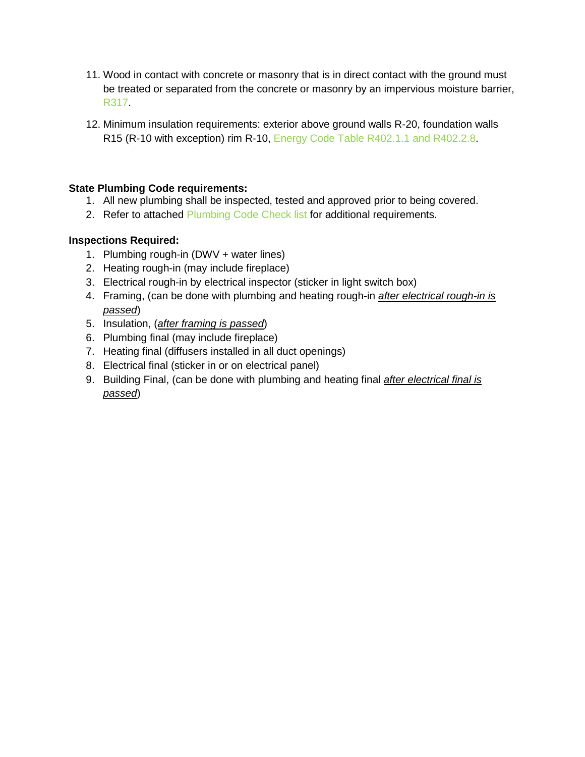- 11. Wood in contact with concrete or masonry that is in direct contact with the ground must be treated or separated from the concrete or masonry by an impervious moisture barrier, R317.
- 12. Minimum insulation requirements: exterior above ground walls R-20, foundation walls R15 (R-10 with exception) rim R-10, Energy Code Table R402.1.1 and R402.2.8.

## **State Plumbing Code requirements:**

- 1. All new plumbing shall be inspected, tested and approved prior to being covered.
- 2. Refer to attached Plumbing Code Check list for additional requirements.

## **Inspections Required:**

- 1. Plumbing rough-in (DWV + water lines)
- 2. Heating rough-in (may include fireplace)
- 3. Electrical rough-in by electrical inspector (sticker in light switch box)
- 4. Framing, (can be done with plumbing and heating rough-in *after electrical rough-in is passed*)
- 5. Insulation, (*after framing is passed*)
- 6. Plumbing final (may include fireplace)
- 7. Heating final (diffusers installed in all duct openings)
- 8. Electrical final (sticker in or on electrical panel)
- 9. Building Final, (can be done with plumbing and heating final *after electrical final is passed*)